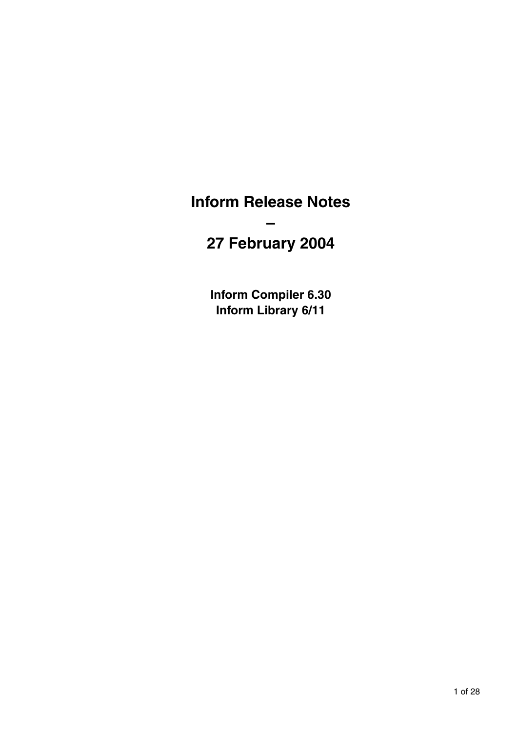## **Inform Release Notes**

# **27 February 2004**

**–** 

**Inform Compiler 6.30 Inform Library 6/11**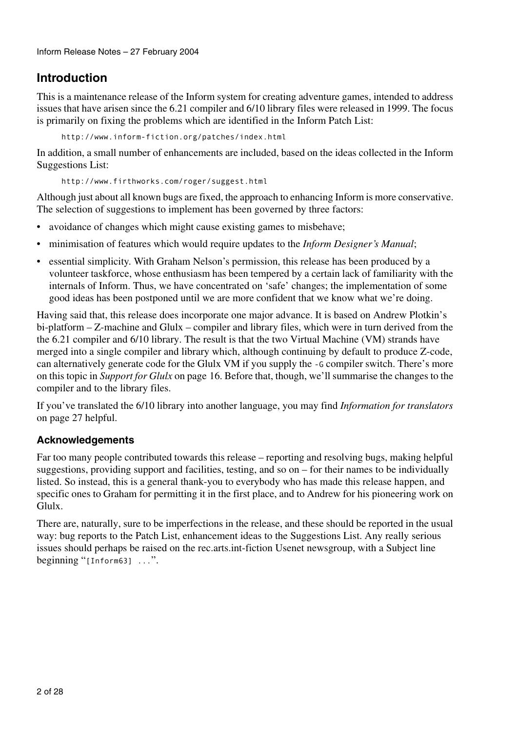## **Introduction**

This is a maintenance release of the Inform system for creating adventure games, intended to address issues that have arisen since the 6.21 compiler and 6/10 library files were released in 1999. The focus is primarily on fixing the problems which are identified in the Inform Patch List:

http://www.inform-fiction.org/patches/index.html

In addition, a small number of enhancements are included, based on the ideas collected in the Inform Suggestions List:

http://www.firthworks.com/roger/suggest.html

Although just about all known bugs are fixed, the approach to enhancing Inform is more conservative. The selection of suggestions to implement has been governed by three factors:

- avoidance of changes which might cause existing games to misbehave;
- minimisation of features which would require updates to the *Inform Designer's Manual*;
- essential simplicity. With Graham Nelson's permission, this release has been produced by a volunteer taskforce, whose enthusiasm has been tempered by a certain lack of familiarity with the internals of Inform. Thus, we have concentrated on 'safe' changes; the implementation of some good ideas has been postponed until we are more confident that we know what we're doing.

Having said that, this release does incorporate one major advance. It is based on Andrew Plotkin's bi-platform – Z-machine and Glulx – compiler and library files, which were in turn derived from the the 6.21 compiler and 6/10 library. The result is that the two Virtual Machine (VM) strands have merged into a single compiler and library which, although continuing by default to produce Z-code, can alternatively generate code for the Glulx VM if you supply the -G compiler switch. There's more on this topic in *Support for Glulx* on page 16. Before that, though, we'll summarise the changes to the compiler and to the library files.

If you've translated the 6/10 library into another language, you may find *Information for translators* on page 27 helpful.

#### **Acknowledgements**

Far too many people contributed towards this release – reporting and resolving bugs, making helpful suggestions, providing support and facilities, testing, and so on – for their names to be individually listed. So instead, this is a general thank-you to everybody who has made this release happen, and specific ones to Graham for permitting it in the first place, and to Andrew for his pioneering work on Glulx.

There are, naturally, sure to be imperfections in the release, and these should be reported in the usual way: bug reports to the Patch List, enhancement ideas to the Suggestions List. Any really serious issues should perhaps be raised on the rec.arts.int-fiction Usenet newsgroup, with a Subject line beginning " $[Inform63]$ ...".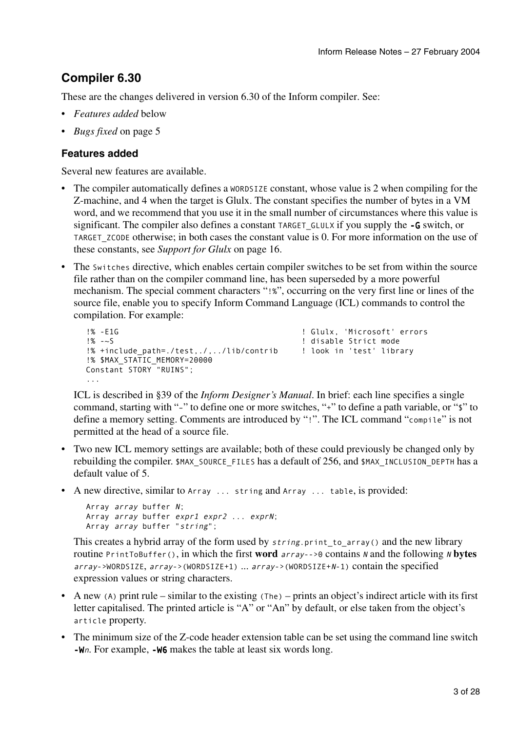## **Compiler 6.30**

These are the changes delivered in version 6.30 of the Inform compiler. See:

- *Features added* below
- *Bugs fixed* on page 5

#### **Features added**

Several new features are available.

- The compiler automatically defines a WORDSIZE constant, whose value is 2 when compiling for the Z-machine, and 4 when the target is Glulx. The constant specifies the number of bytes in a VM word, and we recommend that you use it in the small number of circumstances where this value is significant. The compiler also defines a constant TARGET\_GLULX if you supply the -G switch, or TARGET ZCODE otherwise; in both cases the constant value is 0. For more information on the use of these constants, see *Support for Glulx* on page 16.
- The Switches directive, which enables certain compiler switches to be set from within the source file rather than on the compiler command line, has been superseded by a more powerful mechanism. The special comment characters "!%", occurring on the very first line or lines of the source file, enable you to specify Inform Command Language (ICL) commands to control the compilation. For example:

```
!% -E1G ! Glulx, 'Microsoft' errors 
!% -~S ! disable Strict mode 
!% +include path=./test../.../lib/contrib ! look in 'test' library
!% $MAX_STATIC_MEMORY=20000 
Constant STORY "RUINS";
...
```
ICL is described in §39 of the *Inform Designer's Manual*. In brief: each line specifies a single command, starting with "–" to define one or more switches, "+" to define a path variable, or "\$" to define a memory setting. Comments are introduced by "!". The ICL command "compile" is not permitted at the head of a source file.

- Two new ICL memory settings are available; both of these could previously be changed only by rebuilding the compiler. \$MAX\_SOURCE\_FILES has a default of 256, and \$MAX\_INCLUSION\_DEPTH has a default value of 5.
- A new directive, similar to Array ... string and Array ... table, is provided:

```
Array array buffer N; 
Array array buffer expr1 expr2 ... exprN;
Array array buffer "string";
```
This creates a hybrid array of the form used by string.print\_to\_array() and the new library routine PrintToBuffer(), in which the first **word** array-->0 contains N and the following <sup>N</sup> **bytes** array->WORDSIZE, array->(WORDSIZE+1) ... array->(WORDSIZE+N-1) contain the specified expression values or string characters.

- A new (A) print rule similar to the existing  $(The$ ) prints an object's indirect article with its first letter capitalised. The printed article is "A" or "An" by default, or else taken from the object's article property.
- The minimum size of the Z-code header extension table can be set using the command line switch -Wn. For example, -W6 makes the table at least six words long.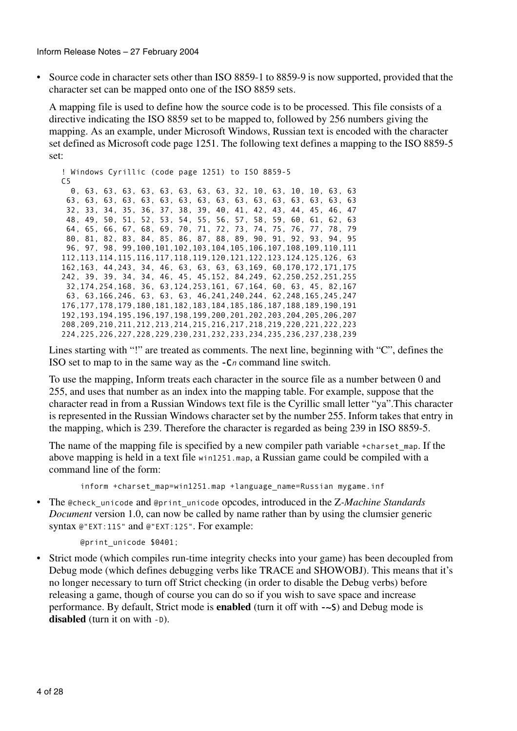• Source code in character sets other than ISO 8859-1 to 8859-9 is now supported, provided that the character set can be mapped onto one of the ISO 8859 sets.

A mapping file is used to define how the source code is to be processed. This file consists of a directive indicating the ISO 8859 set to be mapped to, followed by 256 numbers giving the mapping. As an example, under Microsoft Windows, Russian text is encoded with the character set defined as Microsoft code page 1251. The following text defines a mapping to the ISO 8859-5 set:

```
! Windows Cyrillic (code page 1251) to ISO 8859-5
C5
   0, 63, 63, 63, 63, 63, 63, 63, 63, 32, 10, 63, 10, 10, 63, 63 
 63, 63, 63, 63, 63, 63, 63, 63, 63, 63, 63, 63, 63, 63, 63, 63 
 32, 33, 34, 35, 36, 37, 38, 39, 40, 41, 42, 43, 44, 45, 46, 47 
 48, 49, 50, 51, 52, 53, 54, 55, 56, 57, 58, 59, 60, 61, 62, 63 
 64, 65, 66, 67, 68, 69, 70, 71, 72, 73, 74, 75, 76, 77, 78, 79 
 80, 81, 82, 83, 84, 85, 86, 87, 88, 89, 90, 91, 92, 93, 94, 95 
 96, 97, 98, 99,100,101,102,103,104,105,106,107,108,109,110,111 
112,113,114,115,116,117,118,119,120,121,122,123,124,125,126, 63 
162,163, 44,243, 34, 46, 63, 63, 63, 63,169, 60,170,172,171,175 
242, 39, 39, 34, 34, 46, 45, 45,152, 84,249, 62,250,252,251,255 
 32,174,254,168, 36, 63,124,253,161, 67,164, 60, 63, 45, 82,167 
 63, 63,166,246, 63, 63, 63, 46,241,240,244, 62,248,165,245,247 
176,177,178,179,180,181,182,183,184,185,186,187,188,189,190,191 
192,193,194,195,196,197,198,199,200,201,202,203,204,205,206,207 
208,209,210,211,212,213,214,215,216,217,218,219,220,221,222,223 
224,225,226,227,228,229,230,231,232,233,234,235,236,237,238,239
```
Lines starting with "!" are treated as comments. The next line, beginning with "C", defines the ISO set to map to in the same way as the -Cn command line switch.

To use the mapping, Inform treats each character in the source file as a number between 0 and 255, and uses that number as an index into the mapping table. For example, suppose that the character read in from a Russian Windows text file is the Cyrillic small letter "ya".This character is represented in the Russian Windows character set by the number 255. Inform takes that entry in the mapping, which is 239. Therefore the character is regarded as being 239 in ISO 8859-5.

The name of the mapping file is specified by a new compiler path variable +charset map. If the above mapping is held in a text file win1251.map, a Russian game could be compiled with a command line of the form:

inform +charset map=win1251.map +language name=Russian mygame.inf

• The @check\_unicode and @print\_unicode opcodes, introduced in the Z*-Machine Standards Document* version 1.0, can now be called by name rather than by using the clumsier generic syntax @"EXT:11S" and @"EXT:12S". For example:

```
 @print_unicode $0401;
```
• Strict mode (which compiles run-time integrity checks into your game) has been decoupled from Debug mode (which defines debugging verbs like TRACE and SHOWOBJ). This means that it's no longer necessary to turn off Strict checking (in order to disable the Debug verbs) before releasing a game, though of course you can do so if you wish to save space and increase performance. By default, Strict mode is **enabled** (turn it off with -~S) and Debug mode is **disabled** (turn it on with -D).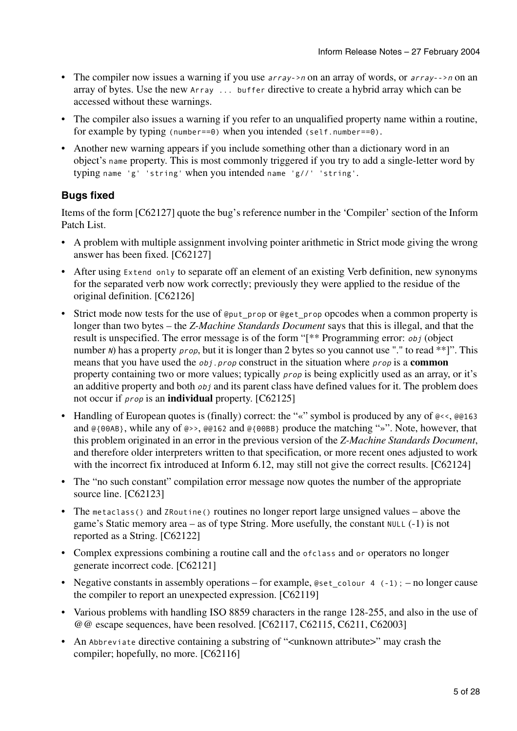- The compiler now issues a warning if you use *array->n* on an array of words, or *array-->n* on an array of bytes. Use the new Array ... buffer directive to create a hybrid array which can be accessed without these warnings.
- The compiler also issues a warning if you refer to an unqualified property name within a routine, for example by typing (number==0) when you intended (self.number==0).
- Another new warning appears if you include something other than a dictionary word in an object's name property. This is most commonly triggered if you try to add a single-letter word by typing name 'g' 'string' when you intended name 'g//' 'string'.

#### **Bugs fixed**

Items of the form [C62127] quote the bug's reference number in the 'Compiler' section of the Inform Patch List.

- A problem with multiple assignment involving pointer arithmetic in Strict mode giving the wrong answer has been fixed. [C62127]
- After using Extend only to separate off an element of an existing Verb definition, new synonyms for the separated verb now work correctly; previously they were applied to the residue of the original definition. [C62126]
- Strict mode now tests for the use of @put\_prop or @get\_prop opcodes when a common property is longer than two bytes – the *Z-Machine Standards Document* says that this is illegal, and that the result is unspecified. The error message is of the form "[\*\* Programming error: obj (object number N) has a property *prop*, but it is longer than 2 bytes so you cannot use "." to read \*\*]". This means that you have used the obj.prop construct in the situation where prop is a **common** property containing two or more values; typically prop is being explicitly used as an array, or it's an additive property and both *obj* and its parent class have defined values for it. The problem does not occur if prop is an **individual** property. [C62125]
- Handling of European quotes is (finally) correct: the "«" symbol is produced by any of  $\mathbb{Q} \leq \sqrt{\mathbb{Q}}$  ( $\mathbb{Q} \leq 163$ ) and @{00AB}, while any of @>>, @@162 and @{00BB} produce the matching "»". Note, however, that this problem originated in an error in the previous version of the *Z-Machine Standards Document*, and therefore older interpreters written to that specification, or more recent ones adjusted to work with the incorrect fix introduced at Inform 6.12, may still not give the correct results. [C62124]
- The "no such constant" compilation error message now quotes the number of the appropriate source line. [C62123]
- The metaclass() and ZRoutine() routines no longer report large unsigned values above the game's Static memory area – as of type String. More usefully, the constant NULL (-1) is not reported as a String. [C62122]
- Complex expressions combining a routine call and the ofclass and or operators no longer generate incorrect code. [C62121]
- Negative constants in assembly operations for example, @set\_colour 4  $(-1)$ ; no longer cause the compiler to report an unexpected expression. [C62119]
- Various problems with handling ISO 8859 characters in the range 128-255, and also in the use of @@ escape sequences, have been resolved. [C62117, C62115, C6211, C62003]
- An Abbreviate directive containing a substring of "<unknown attribute>" may crash the compiler; hopefully, no more. [C62116]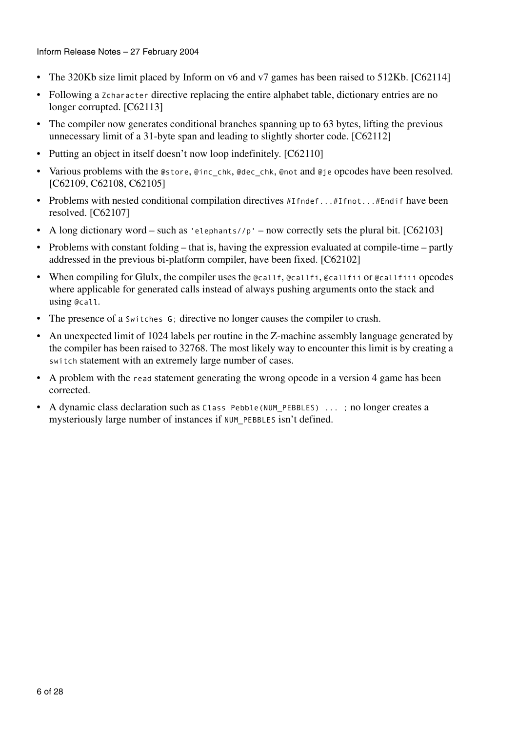Inform Release Notes – 27 February 2004

- The 320Kb size limit placed by Inform on v6 and v7 games has been raised to 512Kb. [C62114]
- Following a zcharacter directive replacing the entire alphabet table, dictionary entries are no longer corrupted. [C62113]
- The compiler now generates conditional branches spanning up to 63 bytes, lifting the previous unnecessary limit of a 31-byte span and leading to slightly shorter code. [C62112]
- Putting an object in itself doesn't now loop indefinitely. [C62110]
- Various problems with the @store, @inc\_chk, @dec\_chk, @not and @je opcodes have been resolved. [C62109, C62108, C62105]
- Problems with nested conditional compilation directives #Ifndef...#Ifnot...#Endif have been resolved. [C62107]
- A long dictionary word such as 'elephants//p' now correctly sets the plural bit.  $[C62103]$
- Problems with constant folding that is, having the expression evaluated at compile-time partly addressed in the previous bi-platform compiler, have been fixed. [C62102]
- When compiling for Glulx, the compiler uses the @callf, @callfi, @callfii or @callfiii opcodes where applicable for generated calls instead of always pushing arguments onto the stack and using @call.
- The presence of a switches G; directive no longer causes the compiler to crash.
- An unexpected limit of 1024 labels per routine in the Z-machine assembly language generated by the compiler has been raised to 32768. The most likely way to encounter this limit is by creating a switch statement with an extremely large number of cases.
- A problem with the read statement generating the wrong opcode in a version 4 game has been corrected.
- A dynamic class declaration such as Class Pebble(NUM\_PEBBLES) ... ; no longer creates a mysteriously large number of instances if NUM\_PEBBLES isn't defined.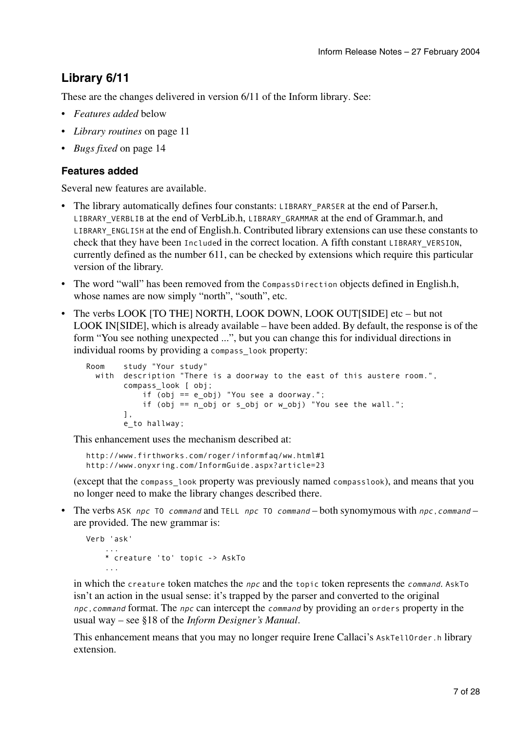## **Library 6/11**

These are the changes delivered in version 6/11 of the Inform library. See:

- *Features added* below
- *Library routines* on page 11
- *Bugs fixed* on page 14

#### **Features added**

Several new features are available.

- The library automatically defines four constants: LIBRARY\_PARSER at the end of Parser.h, LIBRARY\_VERBLIB at the end of VerbLib.h, LIBRARY\_GRAMMAR at the end of Grammar.h, and LIBRARY\_ENGLISH at the end of English.h. Contributed library extensions can use these constants to check that they have been Included in the correct location. A fifth constant LIBRARY VERSION, currently defined as the number 611, can be checked by extensions which require this particular version of the library.
- The word "wall" has been removed from the CompassDirection objects defined in English.h, whose names are now simply "north", "south", etc.
- The verbs LOOK [TO THE] NORTH, LOOK DOWN, LOOK OUT[SIDE] etc but not LOOK IN[SIDE], which is already available – have been added. By default, the response is of the form "You see nothing unexpected ...", but you can change this for individual directions in individual rooms by providing a compass look property:

```
Room study "Your study" 
 with description "There is a doorway to the east of this austere room.", 
         compass_look [ obj; 
             if (obj == e_obj) "You see a doorway."; 
             if (obj == n_obj or s_obj or w_obj) "You see the wall."; 
         ], 
         e_to hallway;
```
This enhancement uses the mechanism described at:

```
http://www.firthworks.com/roger/informfaq/ww.html#1 
http://www.onyxring.com/InformGuide.aspx?article=23
```
(except that the compass\_look property was previously named compasslook), and means that you no longer need to make the library changes described there.

• The verbs ASK npc TO command and TELL npc TO command – both synomymous with npc, command – are provided. The new grammar is:

```
Verb 'ask' 
    ...
     * creature 'to' topic -> AskTo 
    ...
```
in which the creature token matches the  $npc$  and the topic token represents the *command*. AskTo isn't an action in the usual sense: it's trapped by the parser and converted to the original npc,command format. The npc can intercept the command by providing an orders property in the usual way – see §18 of the *Inform Designer's Manual*.

This enhancement means that you may no longer require Irene Callaci's AskTellOrder.h library extension.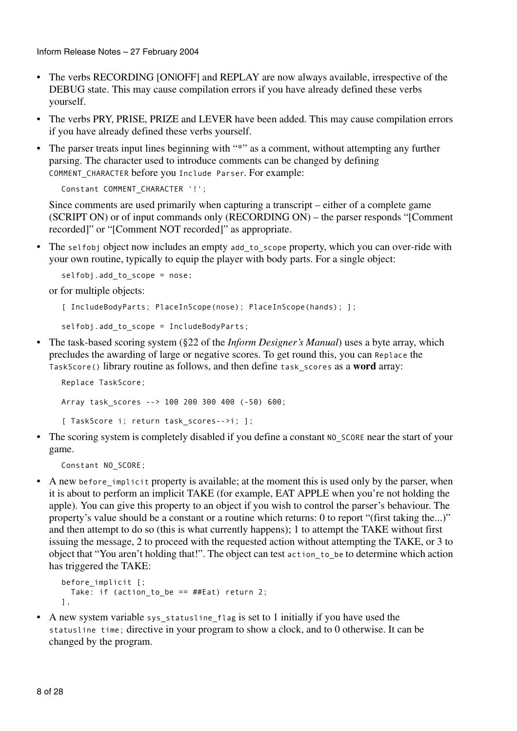Inform Release Notes – 27 February 2004

- The verbs RECORDING [ON|OFF] and REPLAY are now always available, irrespective of the DEBUG state. This may cause compilation errors if you have already defined these verbs yourself.
- The verbs PRY, PRISE, PRIZE and LEVER have been added. This may cause compilation errors if you have already defined these verbs yourself.
- The parser treats input lines beginning with "\*" as a comment, without attempting any further parsing. The character used to introduce comments can be changed by defining COMMENT\_CHARACTER before you Include Parser. For example:

```
Constant COMMENT_CHARACTER '!';
```
Since comments are used primarily when capturing a transcript – either of a complete game (SCRIPT ON) or of input commands only (RECORDING ON) – the parser responds "[Comment recorded]" or "[Comment NOT recorded]" as appropriate.

• The selfobj object now includes an empty add to scope property, which you can over-ride with your own routine, typically to equip the player with body parts. For a single object:

```
selfobj.add to scope = nose;
```
or for multiple objects:

```
[ IncludeBodyParts; PlaceInScope(nose); PlaceInScope(hands); ];
```
selfobj.add\_to\_scope = IncludeBodyParts;

• The task-based scoring system (§22 of the *Inform Designer's Manual*) uses a byte array, which precludes the awarding of large or negative scores. To get round this, you can Replace the TaskScore() library routine as follows, and then define task\_scores as a **word** array:

```
Replace TaskScore;
Array task_scores --> 100 200 300 400 (-50) 600;
[ TaskScore i; return task scores-->i; ];
```
• The scoring system is completely disabled if you define a constant NO SCORE near the start of your game.

Constant NO SCORE;

• A new before implicit property is available; at the moment this is used only by the parser, when it is about to perform an implicit TAKE (for example, EAT APPLE when you're not holding the apple). You can give this property to an object if you wish to control the parser's behaviour. The property's value should be a constant or a routine which returns: 0 to report "(first taking the...)" and then attempt to do so (this is what currently happens); 1 to attempt the TAKE without first issuing the message, 2 to proceed with the requested action without attempting the TAKE, or 3 to object that "You aren't holding that!". The object can test action\_to\_be to determine which action has triggered the TAKE:

```
before implicit [;
  Take: if (action_to_be == \#Eat) return 2;
],
```
• A new system variable sys\_statusline\_flag is set to 1 initially if you have used the statusline time; directive in your program to show a clock, and to 0 otherwise. It can be changed by the program.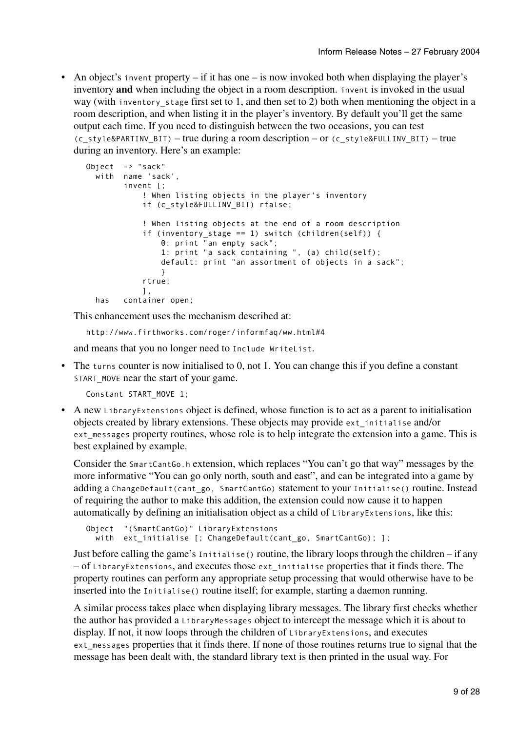• An object's invent property – if it has one – is now invoked both when displaying the player's inventory **and** when including the object in a room description. invent is invoked in the usual way (with inventory stage first set to 1, and then set to 2) both when mentioning the object in a room description, and when listing it in the player's inventory. By default you'll get the same output each time. If you need to distinguish between the two occasions, you can test (c\_style&PARTINV\_BIT) – true during a room description – or (c\_style&FULLINV\_BIT) – true during an inventory. Here's an example:

```
Object -> "sack"
 with name 'sack', 
        invent [; 
            ! When listing objects in the player's inventory 
            if (c_style&FULLINV_BIT) rfalse; 
             ! When listing objects at the end of a room description 
            if (inventory stage == 1) switch (children(self)) {
                0: print "an empty sack"; 
                1: print "a sack containing ", (a) child(self); 
                default: print "an assortment of objects in a sack"; 
                 } 
            rtrue; 
            \overline{1},
 has container open;
```
This enhancement uses the mechanism described at:

```
http://www.firthworks.com/roger/informfaq/ww.html#4
```
and means that you no longer need to Include WriteList.

• The turns counter is now initialised to 0, not 1. You can change this if you define a constant START MOVE near the start of your game.

Constant START\_MOVE 1;

• A new LibraryExtensions object is defined, whose function is to act as a parent to initialisation objects created by library extensions. These objects may provide ext\_initialise and/or ext\_messages property routines, whose role is to help integrate the extension into a game. This is best explained by example.

Consider the SmartCantGo.h extension, which replaces "You can't go that way" messages by the more informative "You can go only north, south and east", and can be integrated into a game by adding a ChangeDefault(cant go, SmartCantGo) statement to your Initialise() routine. Instead of requiring the author to make this addition, the extension could now cause it to happen automatically by defining an initialisation object as a child of LibraryExtensions, like this:

```
Object "(SmartCantGo)" LibraryExtensions 
 with ext initialise [; ChangeDefault(cant go, SmartCantGo); ];
```
Just before calling the game's Initialise() routine, the library loops through the children – if any – of LibraryExtensions, and executes those ext\_initialise properties that it finds there. The property routines can perform any appropriate setup processing that would otherwise have to be inserted into the Initialise() routine itself; for example, starting a daemon running.

A similar process takes place when displaying library messages. The library first checks whether the author has provided a LibraryMessages object to intercept the message which it is about to display. If not, it now loops through the children of LibraryExtensions, and executes ext\_messages properties that it finds there. If none of those routines returns true to signal that the message has been dealt with, the standard library text is then printed in the usual way. For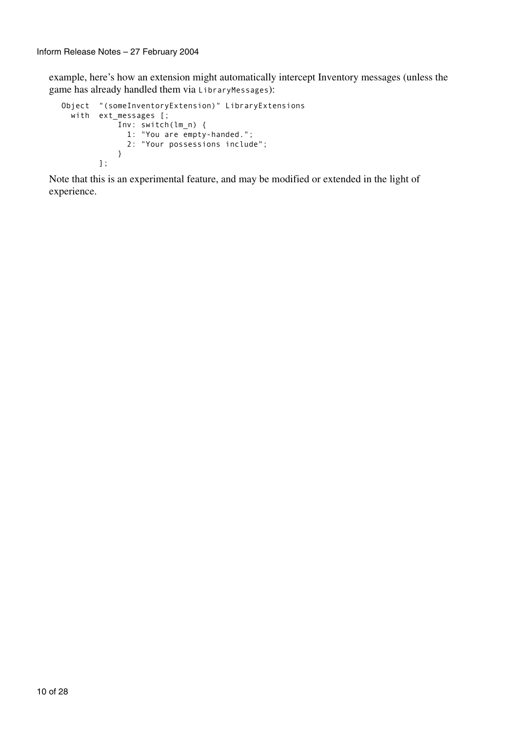example, here's how an extension might automatically intercept Inventory messages (unless the game has already handled them via LibraryMessages):

```
Object "(someInventoryExtension)" LibraryExtensions 
  with ext_messages [;
            Inv: switch(lm_n) {
               1: "You are empty-handed.";
               2: "Your possessions include";
            } 
         ];
```
Note that this is an experimental feature, and may be modified or extended in the light of experience.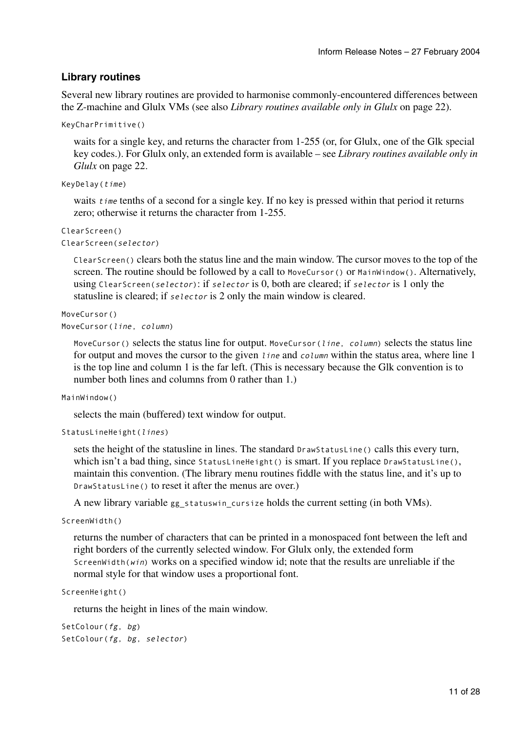#### **Library routines**

Several new library routines are provided to harmonise commonly-encountered differences between the Z-machine and Glulx VMs (see also *Library routines available only in Glulx* on page 22).

```
KeyCharPrimitive()
```
waits for a single key, and returns the character from 1-255 (or, for Glulx, one of the Glk special key codes.). For Glulx only, an extended form is available – see *Library routines available only in Glulx* on page 22.

```
KeyDelay(time)
```
waits *time* tenths of a second for a single key. If no key is pressed within that period it returns zero; otherwise it returns the character from 1-255.

```
ClearScreen()
ClearScreen(selector)
```
ClearScreen() clears both the status line and the main window. The cursor moves to the top of the screen. The routine should be followed by a call to MoveCursor() or MainWindow(). Alternatively, using ClearScreen(selector): if selector is 0, both are cleared; if selector is 1 only the statusline is cleared; if selector is 2 only the main window is cleared.

```
MoveCursor()
MoveCursor(line, column)
```
MoveCursor() selects the status line for output. MoveCursor(line, column) selects the status line for output and moves the cursor to the given line and column within the status area, where line 1 is the top line and column 1 is the far left. (This is necessary because the Glk convention is to number both lines and columns from 0 rather than 1.)

```
MainWindow()
```
selects the main (buffered) text window for output.

```
StatusLineHeight(lines)
```
sets the height of the statusline in lines. The standard DrawStatusLine() calls this every turn, which isn't a bad thing, since StatusLineHeight() is smart. If you replace DrawStatusLine(), maintain this convention. (The library menu routines fiddle with the status line, and it's up to DrawStatusLine() to reset it after the menus are over.)

A new library variable gg\_statuswin\_cursize holds the current setting (in both VMs).

```
ScreenWidth()
```
returns the number of characters that can be printed in a monospaced font between the left and right borders of the currently selected window. For Glulx only, the extended form ScreenWidth(win) works on a specified window id; note that the results are unreliable if the normal style for that window uses a proportional font.

```
ScreenHeight()
```
returns the height in lines of the main window.

```
SetColour(fg, bg)
SetColour(fg, bg, selector)
```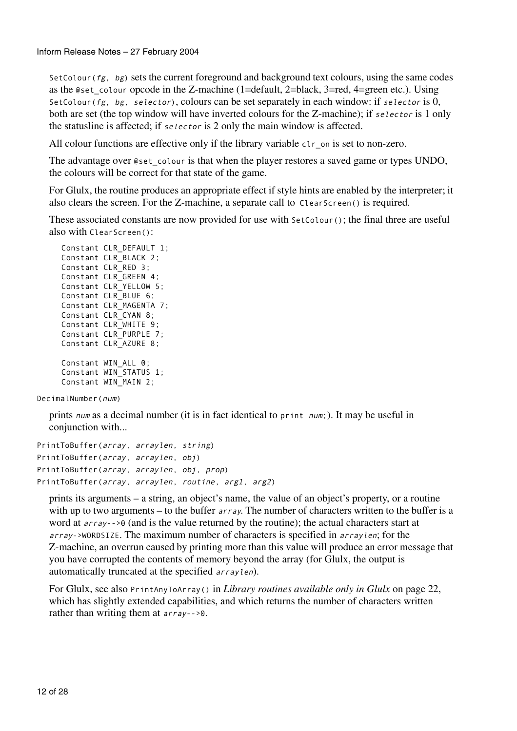SetColour ( $fg$ ,  $bg$ ) sets the current foreground and background text colours, using the same codes as the @set\_colour opcode in the Z-machine (1=default, 2=black, 3=red, 4=green etc.). Using SetColour( $fg$ , bg, selector), colours can be set separately in each window: if selector is 0, both are set (the top window will have inverted colours for the Z-machine); if selector is 1 only the statusline is affected; if selector is 2 only the main window is affected.

All colour functions are effective only if the library variable clear on is set to non-zero.

The advantage over @set\_colour is that when the player restores a saved game or types UNDO, the colours will be correct for that state of the game.

For Glulx, the routine produces an appropriate effect if style hints are enabled by the interpreter; it also clears the screen. For the Z-machine, a separate call to ClearScreen() is required.

These associated constants are now provided for use with SetColour(); the final three are useful also with ClearScreen():

```
Constant CLR_DEFAULT 1; 
Constant CLR_BLACK 2; 
Constant CLR_RED 3; 
Constant CLR_GREEN 4; 
Constant CLR_YELLOW 5; 
Constant CLR_BLUE 6; 
Constant CLR_MAGENTA 7; 
Constant CLR_CYAN 8; 
Constant CLR_WHITE 9; 
Constant CLR_PURPLE 7; 
Constant CLR_AZURE 8; 
Constant WIN ALL 0;
Constant WIN_STATUS 1; 
Constant WIN_MAIN 2;
```
DecimalNumber(num)

prints num as a decimal number (it is in fact identical to print num;). It may be useful in conjunction with...

```
PrintToBuffer(array, arraylen, string)
PrintToBuffer(array, arraylen, obj)
PrintToBuffer(array, arraylen, obj, prop) 
PrintToBuffer(array, arraylen, routine, arg1, arg2)
```
prints its arguments – a string, an object's name, the value of an object's property, or a routine with up to two arguments – to the buffer *array*. The number of characters written to the buffer is a word at array-->0 (and is the value returned by the routine); the actual characters start at array->WORDSIZE. The maximum number of characters is specified in arraylen; for the Z-machine, an overrun caused by printing more than this value will produce an error message that you have corrupted the contents of memory beyond the array (for Glulx, the output is automatically truncated at the specified arraylen).

For Glulx, see also PrintAnyToArray() in *Library routines available only in Glulx* on page 22, which has slightly extended capabilities, and which returns the number of characters written rather than writing them at array-->0.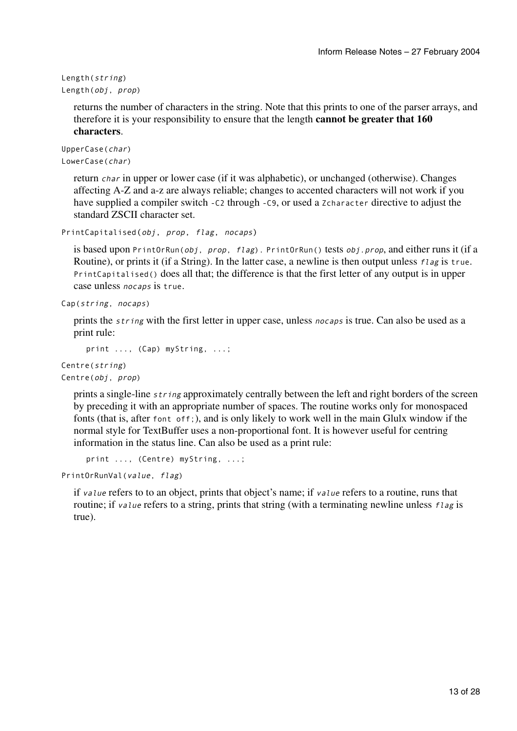```
Length(string)
Length(obj, prop)
```
returns the number of characters in the string. Note that this prints to one of the parser arrays, and therefore it is your responsibility to ensure that the length **cannot be greater that 160 characters**.

```
UpperCase(char)
LowerCase(char)
```
return char in upper or lower case (if it was alphabetic), or unchanged (otherwise). Changes affecting A-Z and a-z are always reliable; changes to accented characters will not work if you have supplied a compiler switch -C2 through -C9, or used a Zcharacter directive to adjust the standard ZSCII character set.

```
PrintCapitalised(obj, prop, flag, nocaps)
```
is based upon PrintOrRun(obj, prop, flag). PrintOrRun() tests obj.prop, and either runs it (if a Routine), or prints it (if a String). In the latter case, a newline is then output unless flag is true. PrintCapitalised() does all that; the difference is that the first letter of any output is in upper case unless nocaps is true.

```
Cap(string, nocaps)
```
prints the *string* with the first letter in upper case, unless nocaps is true. Can also be used as a print rule:

```
print ..., (Cap) myString, ...;
```
Centre(string) Centre(obj, prop)

> prints a single-line *string* approximately centrally between the left and right borders of the screen by preceding it with an appropriate number of spaces. The routine works only for monospaced fonts (that is, after font off;), and is only likely to work well in the main Glulx window if the normal style for TextBuffer uses a non-proportional font. It is however useful for centring information in the status line. Can also be used as a print rule:

```
print ..., (Centre) myString, ...;
```
PrintOrRunVal(value, flag)

if value refers to to an object, prints that object's name; if value refers to a routine, runs that routine; if value refers to a string, prints that string (with a terminating newline unless  $flag$  is true).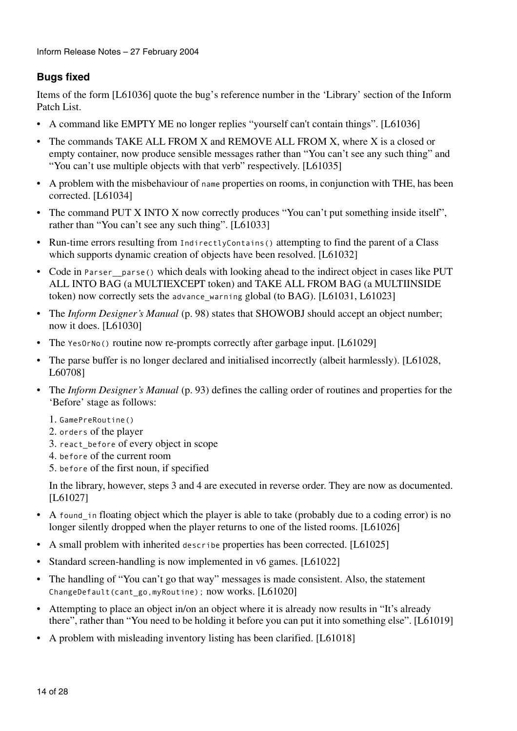#### **Bugs fixed**

Items of the form [L61036] quote the bug's reference number in the 'Library' section of the Inform Patch List.

- A command like EMPTY ME no longer replies "yourself can't contain things". [L61036]
- The commands TAKE ALL FROM X and REMOVE ALL FROM X, where X is a closed or empty container, now produce sensible messages rather than "You can't see any such thing" and "You can't use multiple objects with that verb" respectively. [L61035]
- A problem with the misbehaviour of name properties on rooms, in conjunction with THE, has been corrected. [L61034]
- The command PUT X INTO X now correctly produces "You can't put something inside itself", rather than "You can't see any such thing". [L61033]
- Run-time errors resulting from IndirectlyContains() attempting to find the parent of a Class which supports dynamic creation of objects have been resolved. [L61032]
- Code in Parser parse() which deals with looking ahead to the indirect object in cases like PUT ALL INTO BAG (a MULTIEXCEPT token) and TAKE ALL FROM BAG (a MULTIINSIDE token) now correctly sets the advance warning global (to BAG). [L61031, L61023]
- The *Inform Designer's Manual* (p. 98) states that SHOWOBJ should accept an object number; now it does. [L61030]
- The Yes0rNo() routine now re-prompts correctly after garbage input. [L61029]
- The parse buffer is no longer declared and initialised incorrectly (albeit harmlessly). [L61028, L60708]
- The *Inform Designer's Manual* (p. 93) defines the calling order of routines and properties for the 'Before' stage as follows:
	- 1. GamePreRoutine()
	- 2. orders of the player
	- 3. react\_before of every object in scope
	- 4. before of the current room
	- 5. before of the first noun, if specified

In the library, however, steps 3 and 4 are executed in reverse order. They are now as documented. [L61027]

- A found in floating object which the player is able to take (probably due to a coding error) is no longer silently dropped when the player returns to one of the listed rooms. [L61026]
- A small problem with inherited describe properties has been corrected. [L61025]
- Standard screen-handling is now implemented in v6 games. [L61022]
- The handling of "You can't go that way" messages is made consistent. Also, the statement ChangeDefault(cant\_go,myRoutine); now works. [L61020]
- Attempting to place an object in/on an object where it is already now results in "It's already there", rather than "You need to be holding it before you can put it into something else". [L61019]
- A problem with misleading inventory listing has been clarified. [L61018]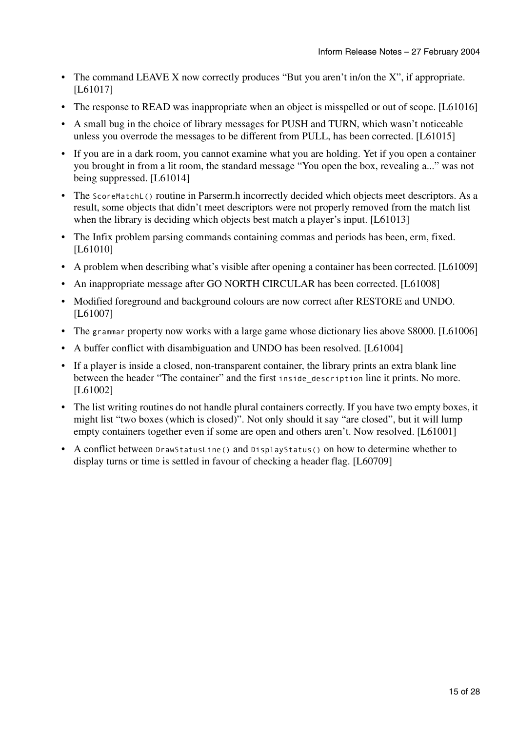- The command LEAVE X now correctly produces "But you aren't in/on the X", if appropriate. [L61017]
- The response to READ was inappropriate when an object is misspelled or out of scope. [L61016]
- A small bug in the choice of library messages for PUSH and TURN, which wasn't noticeable unless you overrode the messages to be different from PULL, has been corrected. [L61015]
- If you are in a dark room, you cannot examine what you are holding. Yet if you open a container you brought in from a lit room, the standard message "You open the box, revealing a..." was not being suppressed. [L61014]
- The ScoreMatchL() routine in Parserm.h incorrectly decided which objects meet descriptors. As a result, some objects that didn't meet descriptors were not properly removed from the match list when the library is deciding which objects best match a player's input. [L61013]
- The Infix problem parsing commands containing commas and periods has been, erm, fixed. [L61010]
- A problem when describing what's visible after opening a container has been corrected. [L61009]
- An inappropriate message after GO NORTH CIRCULAR has been corrected. [L61008]
- Modified foreground and background colours are now correct after RESTORE and UNDO. [L61007]
- The grammar property now works with a large game whose dictionary lies above \$8000. [L61006]
- A buffer conflict with disambiguation and UNDO has been resolved. [L61004]
- If a player is inside a closed, non-transparent container, the library prints an extra blank line between the header "The container" and the first inside description line it prints. No more. [L61002]
- The list writing routines do not handle plural containers correctly. If you have two empty boxes, it might list "two boxes (which is closed)". Not only should it say "are closed", but it will lump empty containers together even if some are open and others aren't. Now resolved. [L61001]
- A conflict between DrawStatusLine() and DisplayStatus() on how to determine whether to display turns or time is settled in favour of checking a header flag. [L60709]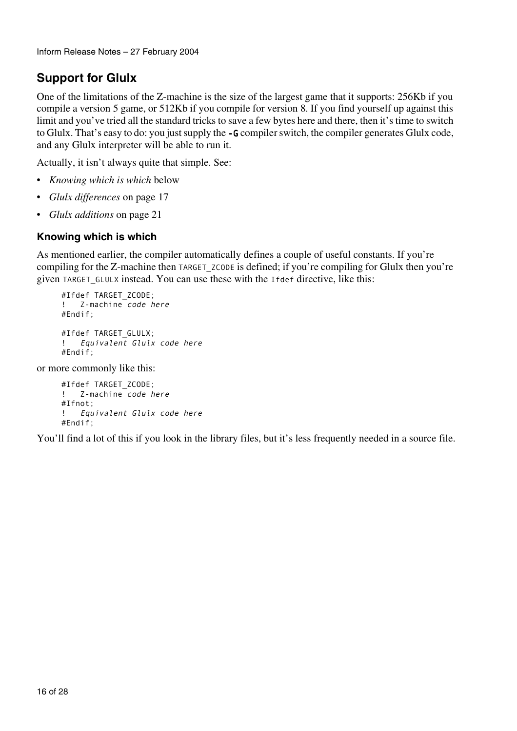```
Inform Release Notes – 27 February 2004
```
## **Support for Glulx**

One of the limitations of the Z-machine is the size of the largest game that it supports: 256Kb if you compile a version 5 game, or 512Kb if you compile for version 8. If you find yourself up against this limit and you've tried all the standard tricks to save a few bytes here and there, then it's time to switch to Glulx. That's easy to do: you just supply the -G compiler switch, the compiler generates Glulx code, and any Glulx interpreter will be able to run it.

Actually, it isn't always quite that simple. See:

- *Knowing which is which* below
- *Glulx differences* on page 17
- *Glulx additions* on page 21

#### **Knowing which is which**

As mentioned earlier, the compiler automatically defines a couple of useful constants. If you're compiling for the Z-machine then TARGET\_ZCODE is defined; if you're compiling for Glulx then you're given TARGET\_GLULX instead. You can use these with the Ifdef directive, like this:

```
#Ifdef TARGET_ZCODE; 
! Z-machine code here
#Endif;
#Ifdef TARGET_GLULX; 
! Equivalent Glulx code here
#Endif;
```
or more commonly like this:

```
#Ifdef TARGET_ZCODE; 
! Z-machine code here
#Ifnot;
! Equivalent Glulx code here
#Endif;
```
You'll find a lot of this if you look in the library files, but it's less frequently needed in a source file.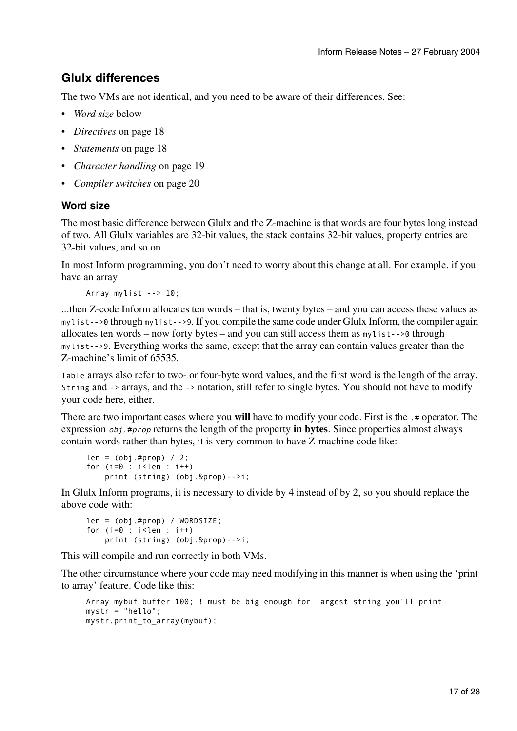## **Glulx differences**

The two VMs are not identical, and you need to be aware of their differences. See:

- *Word size* below
- *Directives* on page 18
- *Statements* on page 18
- *Character handling* on page 19
- *Compiler switches* on page 20

#### **Word size**

The most basic difference between Glulx and the Z-machine is that words are four bytes long instead of two. All Glulx variables are 32-bit values, the stack contains 32-bit values, property entries are 32-bit values, and so on.

In most Inform programming, you don't need to worry about this change at all. For example, if you have an array

```
Array mylist --> 10;
```
...then Z-code Inform allocates ten words – that is, twenty bytes – and you can access these values as mylist-->0 through mylist-->9. If you compile the same code under Glulx Inform, the compiler again allocates ten words – now forty bytes – and you can still access them as mylist-->0 through mylist-->9. Everything works the same, except that the array can contain values greater than the Z-machine's limit of 65535.

Table arrays also refer to two- or four-byte word values, and the first word is the length of the array. String and -> arrays, and the -> notation, still refer to single bytes. You should not have to modify your code here, either.

There are two important cases where you **will** have to modify your code. First is the .# operator. The expression obj.#prop returns the length of the property **in bytes**. Since properties almost always contain words rather than bytes, it is very common to have Z-machine code like:

```
len = (obj . #prop) / 2;for (i=0 : i<1en : i++) print (string) (obj.&prop)-->i;
```
In Glulx Inform programs, it is necessary to divide by 4 instead of by 2, so you should replace the above code with:

```
len = (obj.#prop) / WORDSIZE; 
for (i=0 : i<1en : i++) print (string) (obj.&prop)-->i;
```
This will compile and run correctly in both VMs.

The other circumstance where your code may need modifying in this manner is when using the 'print to array' feature. Code like this:

```
Array mybuf buffer 100; ! must be big enough for largest string you'll print 
mystr = "hello"; 
mystr.print_to_array(mybuf);
```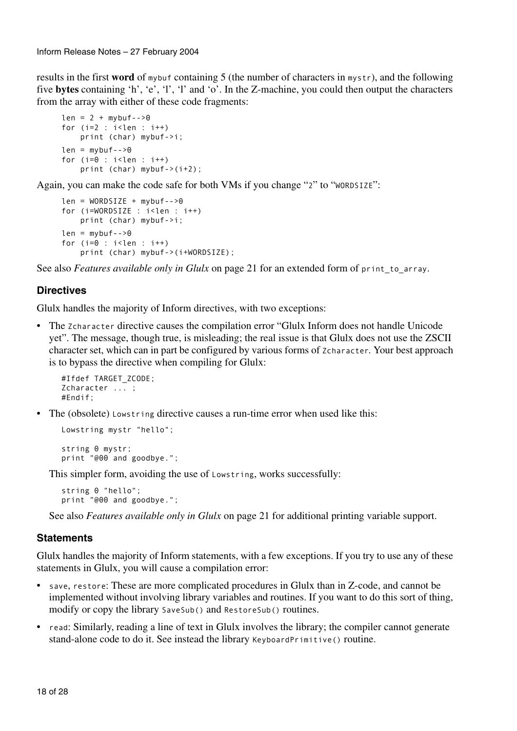results in the first **word** of mybuf containing 5 (the number of characters in mystr), and the following five **bytes** containing 'h', 'e', 'l', 'l' and 'o'. In the Z-machine, you could then output the characters from the array with either of these code fragments:

```
len = 2 + mfor (i=2 : i<sub>1</sub>en : i++) print (char) mybuf->i; 
len = mybuf-->0for (i=0 : i<1en : i++) print (char) mybuf->(i+2);
```
Again, you can make the code safe for both VMs if you change "2" to "WORDSIZE":

```
len = WORDSIZE + mybuf-->0for (i=WORDSIZE : i<len : i++)
    print (char) mybuf->i; 
len = mybuf--9for (i=0 : i<1en : i++) print (char) mybuf->(i+WORDSIZE);
```
See also *Features available only in Glulx* on page 21 for an extended form of print\_to\_array.

#### **Directives**

Glulx handles the majority of Inform directives, with two exceptions:

• The Zcharacter directive causes the compilation error "Glulx Inform does not handle Unicode yet". The message, though true, is misleading; the real issue is that Glulx does not use the ZSCII character set, which can in part be configured by various forms of Zcharacter. Your best approach is to bypass the directive when compiling for Glulx:

```
#Ifdef TARGET_ZCODE; 
Zcharacter ... ; 
#Endif;
```
• The (obsolete) Lowstring directive causes a run-time error when used like this:

```
Lowstring mystr "hello"; 
string 0 mystr; 
print "@00 and goodbye.";
```
This simpler form, avoiding the use of Lowstring, works successfully:

string 0 "hello"; print "@00 and goodbye.";

See also *Features available only in Glulx* on page 21 for additional printing variable support.

#### **Statements**

Glulx handles the majority of Inform statements, with a few exceptions. If you try to use any of these statements in Glulx, you will cause a compilation error:

- save, restore: These are more complicated procedures in Glulx than in Z-code, and cannot be implemented without involving library variables and routines. If you want to do this sort of thing, modify or copy the library SaveSub() and RestoreSub() routines.
- read: Similarly, reading a line of text in Glulx involves the library; the compiler cannot generate stand-alone code to do it. See instead the library KeyboardPrimitive() routine.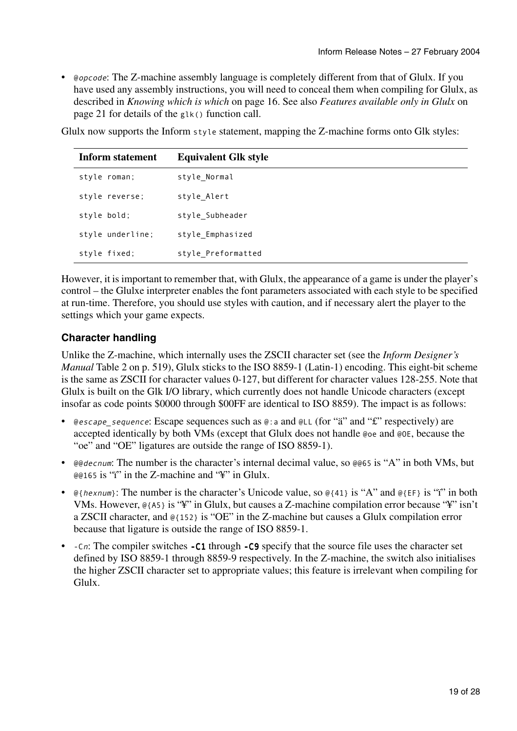• @*opcode*: The Z-machine assembly language is completely different from that of Glulx. If you have used any assembly instructions, you will need to conceal them when compiling for Glulx, as described in *Knowing which is which* on page 16. See also *Features available only in Glulx* on page 21 for details of the glk() function call.

Glulx now supports the Inform style statement, mapping the Z-machine forms onto Glk styles:

| <b>Inform statement</b> | <b>Equivalent Glk style</b> |
|-------------------------|-----------------------------|
| style roman;            | style Normal                |
| style reverse;          | style Alert                 |
| style bold;             | style Subheader             |
| style underline;        | style Emphasized            |
| style fixed;            | style Preformatted          |

However, it is important to remember that, with Glulx, the appearance of a game is under the player's control – the Glulxe interpreter enables the font parameters associated with each style to be specified at run-time. Therefore, you should use styles with caution, and if necessary alert the player to the settings which your game expects.

#### **Character handling**

Unlike the Z-machine, which internally uses the ZSCII character set (see the *Inform Designer's Manual* Table 2 on p. 519), Glulx sticks to the ISO 8859-1 (Latin-1) encoding. This eight-bit scheme is the same as ZSCII for character values 0-127, but different for character values 128-255. Note that Glulx is built on the Glk I/O library, which currently does not handle Unicode characters (except insofar as code points \$0000 through \$00FF are identical to ISO 8859). The impact is as follows:

- @escape\_sequence: Escape sequences such as  $\mathbb{Q}$ : a and  $\mathbb{Q}$ LL (for "ä" and "£" respectively) are accepted identically by both VMs (except that Glulx does not handle @oe and @OE, because the "oe" and "OE" ligatures are outside the range of ISO 8859-1).
- @@decnum: The number is the character's internal decimal value, so @@65 is "A" in both VMs, but  $\omega$   $\approx$  165 is "i" in the Z-machine and "\" in Glulx.
- $\mathcal{Q}_{\text{thexnum}}$ : The number is the character's Unicode value, so  $\mathcal{Q}_{\{41\}}$  is "A" and  $\mathcal{Q}_{\{EF\}}$  is "i" in both VMs. However, @{A5} is "¥" in Glulx, but causes a Z-machine compilation error because "¥" isn't a ZSCII character, and @{152} is "OE" in the Z-machine but causes a Glulx compilation error because that ligature is outside the range of ISO 8859-1.
- -Cn: The compiler switches -C1 through -C9 specify that the source file uses the character set defined by ISO 8859-1 through 8859-9 respectively. In the Z-machine, the switch also initialises the higher ZSCII character set to appropriate values; this feature is irrelevant when compiling for Glulx.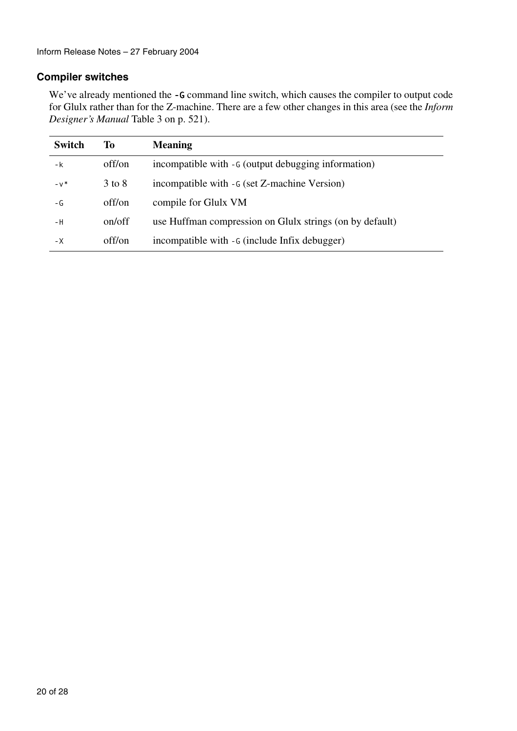#### **Compiler switches**

We've already mentioned the -G command line switch, which causes the compiler to output code for Glulx rather than for the Z-machine. There are a few other changes in this area (see the *Inform Designer's Manual* Table 3 on p. 521).

| <b>Switch</b> | To         | <b>Meaning</b>                                           |
|---------------|------------|----------------------------------------------------------|
| -k            | off/on     | incompatible with - G (output debugging information)     |
| $-v^*$        | $3$ to $8$ | incompatible with - G (set Z-machine Version)            |
| - G           | off/on     | compile for Glulx VM                                     |
| - H           | on/off     | use Huffman compression on Glulx strings (on by default) |
| - X           | off/on     | incompatible with - G (include Infix debugger)           |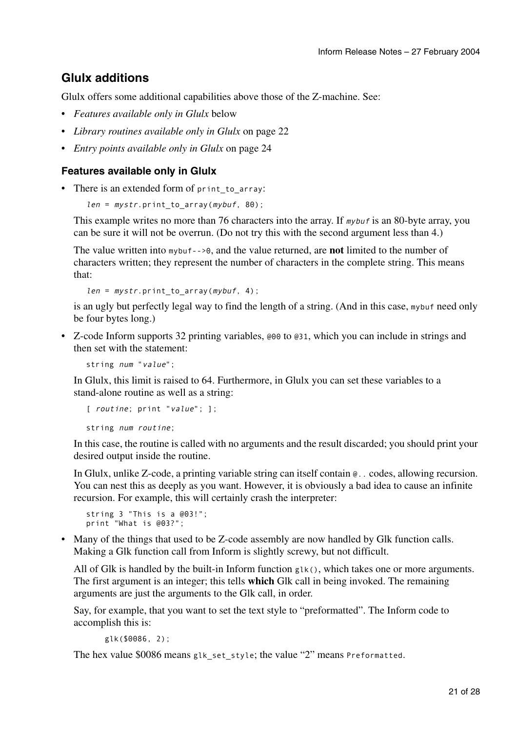## **Glulx additions**

Glulx offers some additional capabilities above those of the Z-machine. See:

- *Features available only in Glulx* below
- *Library routines available only in Glulx* on page 22
- *Entry points available only in Glulx* on page 24

#### **Features available only in Glulx**

• There is an extended form of print to array:

```
len = mystr.print_to_array(mybuf, 80);
```
This example writes no more than 76 characters into the array. If mybuf is an 80-byte array, you can be sure it will not be overrun. (Do not try this with the second argument less than 4.)

The value written into mybuf-->0, and the value returned, are **not** limited to the number of characters written; they represent the number of characters in the complete string. This means that:

```
len = mystr.print_to_array(mybuf, 4);
```
is an ugly but perfectly legal way to find the length of a string. (And in this case, mybuf need only be four bytes long.)

• Z-code Inform supports 32 printing variables, @00 to @31, which you can include in strings and then set with the statement:

string num "value";

In Glulx, this limit is raised to 64. Furthermore, in Glulx you can set these variables to a stand-alone routine as well as a string:

```
[ routine; print "value"; ];
```
string num routine;

In this case, the routine is called with no arguments and the result discarded; you should print your desired output inside the routine.

In Glulx, unlike Z-code, a printing variable string can itself contain @.. codes, allowing recursion. You can nest this as deeply as you want. However, it is obviously a bad idea to cause an infinite recursion. For example, this will certainly crash the interpreter:

```
string 3 "This is a @03!"; 
print "What is @03?";
```
• Many of the things that used to be Z-code assembly are now handled by Glk function calls. Making a Glk function call from Inform is slightly screwy, but not difficult.

All of Glk is handled by the built-in Inform function glk(), which takes one or more arguments. The first argument is an integer; this tells **which** Glk call in being invoked. The remaining arguments are just the arguments to the Glk call, in order.

Say, for example, that you want to set the text style to "preformatted". The Inform code to accomplish this is:

glk(\$0086, 2);

The hex value \$0086 means glk set style; the value "2" means Preformatted.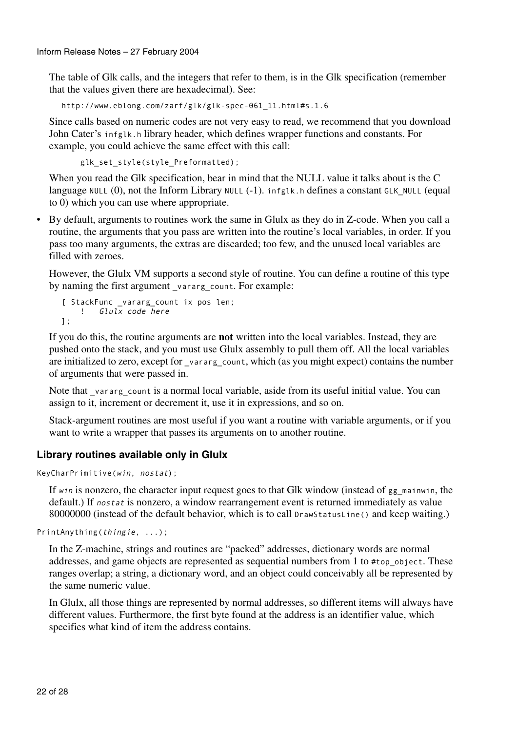The table of Glk calls, and the integers that refer to them, is in the Glk specification (remember that the values given there are hexadecimal). See:

http://www.eblong.com/zarf/glk/glk-spec-061\_11.html#s.1.6

Since calls based on numeric codes are not very easy to read, we recommend that you download John Cater's infglk.h library header, which defines wrapper functions and constants. For example, you could achieve the same effect with this call:

glk\_set\_style(style\_Preformatted);

When you read the Glk specification, bear in mind that the NULL value it talks about is the C language NULL (0), not the Inform Library NULL (-1). infglk.h defines a constant GLK\_NULL (equal to 0) which you can use where appropriate.

• By default, arguments to routines work the same in Glulx as they do in Z-code. When you call a routine, the arguments that you pass are written into the routine's local variables, in order. If you pass too many arguments, the extras are discarded; too few, and the unused local variables are filled with zeroes.

However, the Glulx VM supports a second style of routine. You can define a routine of this type by naming the first argument vararg count. For example:

```
[ StackFunc _vararg_count ix pos len; 
     ! Glulx code here
];
```
If you do this, the routine arguments are **not** written into the local variables. Instead, they are pushed onto the stack, and you must use Glulx assembly to pull them off. All the local variables are initialized to zero, except for vararg count, which (as you might expect) contains the number of arguments that were passed in.

Note that \_vararg\_count is a normal local variable, aside from its useful initial value. You can assign to it, increment or decrement it, use it in expressions, and so on.

Stack-argument routines are most useful if you want a routine with variable arguments, or if you want to write a wrapper that passes its arguments on to another routine.

#### **Library routines available only in Glulx**

```
KeyCharPrimitive(win, nostat);
```
If win is nonzero, the character input request goes to that Glk window (instead of  $gg$  mainwin, the default.) If *nostat* is nonzero, a window rearrangement event is returned immediately as value 80000000 (instead of the default behavior, which is to call DrawStatusLine() and keep waiting.)

PrintAnything(thingie, ...);

In the Z-machine, strings and routines are "packed" addresses, dictionary words are normal addresses, and game objects are represented as sequential numbers from 1 to #top\_object. These ranges overlap; a string, a dictionary word, and an object could conceivably all be represented by the same numeric value.

In Glulx, all those things are represented by normal addresses, so different items will always have different values. Furthermore, the first byte found at the address is an identifier value, which specifies what kind of item the address contains.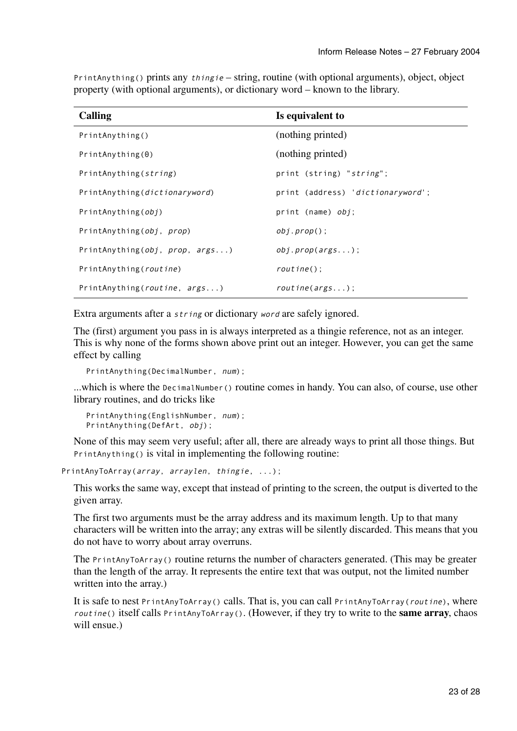| <b>Calling</b>                     | Is equivalent to                  |
|------------------------------------|-----------------------------------|
| PrintAnything()                    | (nothing printed)                 |
| PrintAnything(0)                   | (nothing printed)                 |
| PrintAnything (string)             | print (string) "string";          |
| PrintAnything(dictionaryword)      | print (address) 'dictionaryword'; |
| PrintAnything(obj)                 | print (name) $obj$ ;              |
| PrintAnything(obj, prop)           | $obj.pop()$ ;                     |
| PrintAnything( $obj, prop, args$ ) | obj.prop(args);                   |
| PrintAnything (routine)            | $routine()$ :                     |
| PrintAnything(routine, args)       | routine(args);                    |

PrintAnything() prints any  $t \text{hinge}$  – string, routine (with optional arguments), object, object property (with optional arguments), or dictionary word – known to the library.

Extra arguments after a string or dictionary word are safely ignored.

The (first) argument you pass in is always interpreted as a thingie reference, not as an integer. This is why none of the forms shown above print out an integer. However, you can get the same effect by calling

```
PrintAnything(DecimalNumber, num);
```
...which is where the DecimalNumber() routine comes in handy. You can also, of course, use other library routines, and do tricks like

```
PrintAnything(EnglishNumber, num); 
PrintAnything(DefArt, obj);
```
None of this may seem very useful; after all, there are already ways to print all those things. But PrintAnything() is vital in implementing the following routine:

PrintAnyToArray(array, arraylen, thingie, ...);

This works the same way, except that instead of printing to the screen, the output is diverted to the given array.

The first two arguments must be the array address and its maximum length. Up to that many characters will be written into the array; any extras will be silently discarded. This means that you do not have to worry about array overruns.

The PrintAnyToArray() routine returns the number of characters generated. (This may be greater than the length of the array. It represents the entire text that was output, not the limited number written into the array.)

It is safe to nest PrintAnyToArray() calls. That is, you can call PrintAnyToArray(routine), where routine() itself calls PrintAnyToArray(). (However, if they try to write to the **same array**, chaos will ensue.)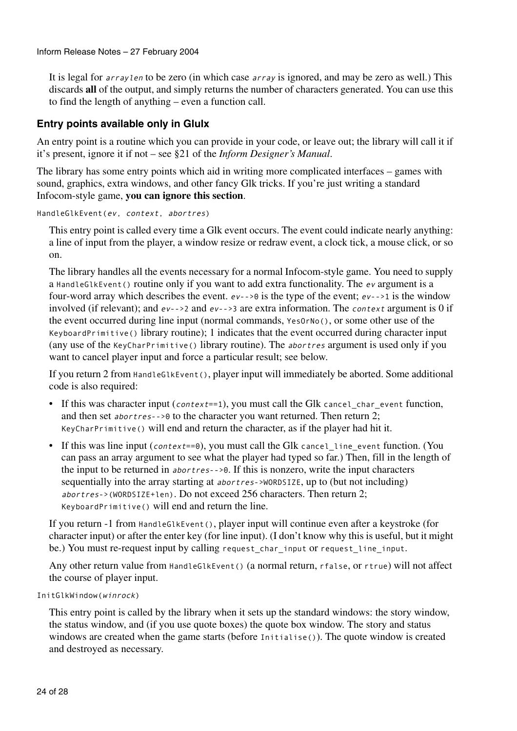Inform Release Notes – 27 February 2004

It is legal for arraylen to be zero (in which case array is ignored, and may be zero as well.) This discards **all** of the output, and simply returns the number of characters generated. You can use this to find the length of anything – even a function call.

#### **Entry points available only in Glulx**

An entry point is a routine which you can provide in your code, or leave out; the library will call it if it's present, ignore it if not – see §21 of the *Inform Designer's Manual*.

The library has some entry points which aid in writing more complicated interfaces – games with sound, graphics, extra windows, and other fancy Glk tricks. If you're just writing a standard Infocom-style game, **you can ignore this section**.

```
HandleGlkEvent(ev, context, abortres)
```
This entry point is called every time a Glk event occurs. The event could indicate nearly anything: a line of input from the player, a window resize or redraw event, a clock tick, a mouse click, or so on.

The library handles all the events necessary for a normal Infocom-style game. You need to supply a HandleGlkEvent() routine only if you want to add extra functionality. The ev argument is a four-word array which describes the event. ev-->0 is the type of the event; ev-->1 is the window involved (if relevant); and ev-->2 and ev-->3 are extra information. The context argument is 0 if the event occurred during line input (normal commands, YesOrNo(), or some other use of the KeyboardPrimitive() library routine); 1 indicates that the event occurred during character input (any use of the KeyCharPrimitive() library routine). The abortres argument is used only if you want to cancel player input and force a particular result; see below.

If you return 2 from HandleGlkEvent(), player input will immediately be aborted. Some additional code is also required:

- If this was character input (*context*==1), you must call the Glk cancel char event function, and then set abortres-->0 to the character you want returned. Then return 2; KeyCharPrimitive() will end and return the character, as if the player had hit it.
- If this was line input (*context*==0), you must call the Glk cancel line event function. (You can pass an array argument to see what the player had typed so far.) Then, fill in the length of the input to be returned in abortres-->0. If this is nonzero, write the input characters sequentially into the array starting at abortres->WORDSIZE, up to (but not including) abortres->(WORDSIZE+len). Do not exceed 256 characters. Then return 2; KeyboardPrimitive() will end and return the line.

If you return -1 from HandleGlkEvent(), player input will continue even after a keystroke (for character input) or after the enter key (for line input). (I don't know why this is useful, but it might be.) You must re-request input by calling request char input or request line input.

Any other return value from HandleGlkEvent() (a normal return, rfalse, or rtrue) will not affect the course of player input.

```
InitGlkWindow(winrock)
```
This entry point is called by the library when it sets up the standard windows: the story window, the status window, and (if you use quote boxes) the quote box window. The story and status windows are created when the game starts (before Initialise()). The quote window is created and destroyed as necessary.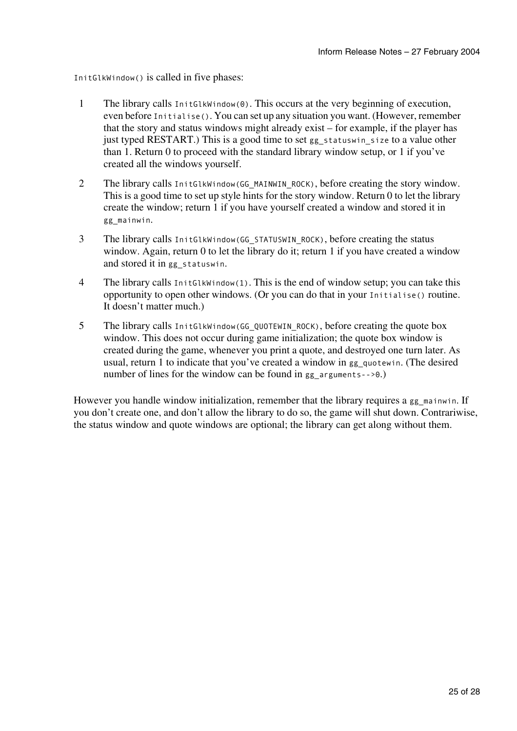InitGlkWindow() is called in five phases:

- 1 The library calls InitGlkWindow(0). This occurs at the very beginning of execution, even before Initialise(). You can set up any situation you want. (However, remember that the story and status windows might already exist – for example, if the player has just typed RESTART.) This is a good time to set gg\_statuswin\_size to a value other than 1. Return 0 to proceed with the standard library window setup, or 1 if you've created all the windows yourself.
- 2 The library calls InitGlkWindow(GG\_MAINWIN\_ROCK), before creating the story window. This is a good time to set up style hints for the story window. Return 0 to let the library create the window; return 1 if you have yourself created a window and stored it in gg\_mainwin.
- 3 The library calls InitGlkWindow(GG\_STATUSWIN\_ROCK), before creating the status window. Again, return 0 to let the library do it; return 1 if you have created a window and stored it in gg\_statuswin.
- 4 The library calls InitGlkWindow(1). This is the end of window setup; you can take this opportunity to open other windows. (Or you can do that in your Initialise() routine. It doesn't matter much.)
- 5 The library calls InitGlkWindow(GG\_QUOTEWIN\_ROCK), before creating the quote box window. This does not occur during game initialization; the quote box window is created during the game, whenever you print a quote, and destroyed one turn later. As usual, return 1 to indicate that you've created a window in gg\_quotewin. (The desired number of lines for the window can be found in gg arguments-->0.)

However you handle window initialization, remember that the library requires a gg\_mainwin. If you don't create one, and don't allow the library to do so, the game will shut down. Contrariwise, the status window and quote windows are optional; the library can get along without them.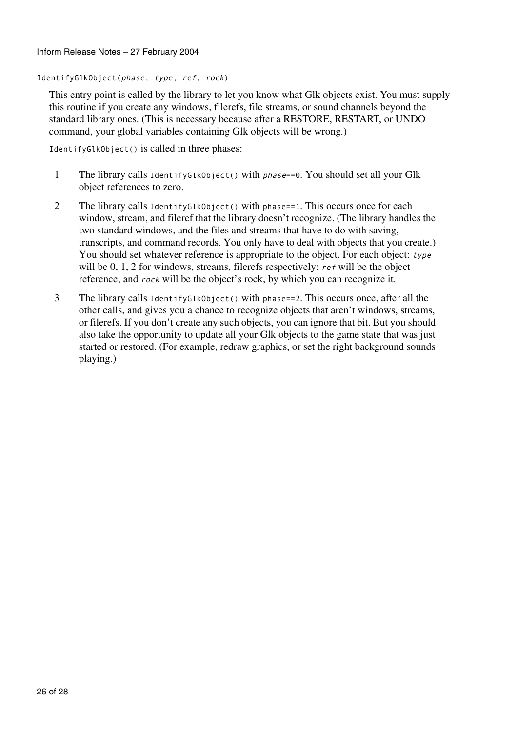Inform Release Notes – 27 February 2004

IdentifyGlkObject(phase, type, ref, rock)

This entry point is called by the library to let you know what Glk objects exist. You must supply this routine if you create any windows, filerefs, file streams, or sound channels beyond the standard library ones. (This is necessary because after a RESTORE, RESTART, or UNDO command, your global variables containing Glk objects will be wrong.)

IdentifyGlkObject() is called in three phases:

- 1 The library calls IdentifyGlkObject() with phase==0. You should set all your Glk object references to zero.
- 2 The library calls IdentifyGlkObject() with phase==1. This occurs once for each window, stream, and fileref that the library doesn't recognize. (The library handles the two standard windows, and the files and streams that have to do with saving, transcripts, and command records. You only have to deal with objects that you create.) You should set whatever reference is appropriate to the object. For each object: type will be 0, 1, 2 for windows, streams, filerefs respectively; ref will be the object reference; and rock will be the object's rock, by which you can recognize it.
- 3 The library calls IdentifyGlkObject() with phase==2. This occurs once, after all the other calls, and gives you a chance to recognize objects that aren't windows, streams, or filerefs. If you don't create any such objects, you can ignore that bit. But you should also take the opportunity to update all your Glk objects to the game state that was just started or restored. (For example, redraw graphics, or set the right background sounds playing.)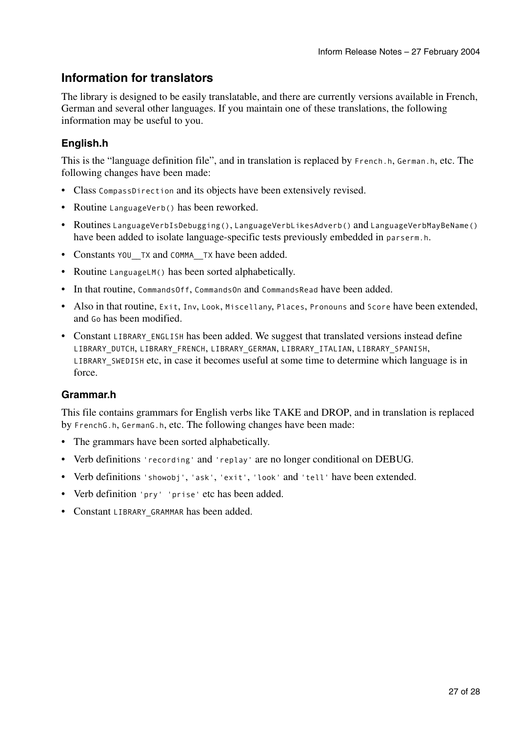## **Information for translators**

The library is designed to be easily translatable, and there are currently versions available in French, German and several other languages. If you maintain one of these translations, the following information may be useful to you.

### **English.h**

This is the "language definition file", and in translation is replaced by French.h, German.h, etc. The following changes have been made:

- Class CompassDirection and its objects have been extensively revised.
- Routine LanguageVerb() has been reworked.
- Routines LanguageVerbIsDebugging(), LanguageVerbLikesAdverb() and LanguageVerbMayBeName() have been added to isolate language-specific tests previously embedded in parserm.h.
- Constants YOU TX and COMMA TX have been added.
- Routine LanguageLM() has been sorted alphabetically.
- In that routine, CommandsOff, CommandsOn and CommandsRead have been added.
- Also in that routine, Exit, Inv, Look, Miscellany, Places, Pronouns and Score have been extended, and Go has been modified.
- Constant LIBRARY\_ENGLISH has been added. We suggest that translated versions instead define LIBRARY\_DUTCH, LIBRARY\_FRENCH, LIBRARY\_GERMAN, LIBRARY\_ITALIAN, LIBRARY\_SPANISH, LIBRARY\_SWEDISH etc, in case it becomes useful at some time to determine which language is in force.

#### **Grammar.h**

This file contains grammars for English verbs like TAKE and DROP, and in translation is replaced by FrenchG.h, GermanG.h, etc. The following changes have been made:

- The grammars have been sorted alphabetically.
- Verb definitions 'recording' and 'replay' are no longer conditional on DEBUG.
- Verb definitions 'showobj', 'ask', 'exit', 'look' and 'tell' have been extended.
- Verb definition 'pry' 'prise' etc has been added.
- Constant LIBRARY GRAMMAR has been added.